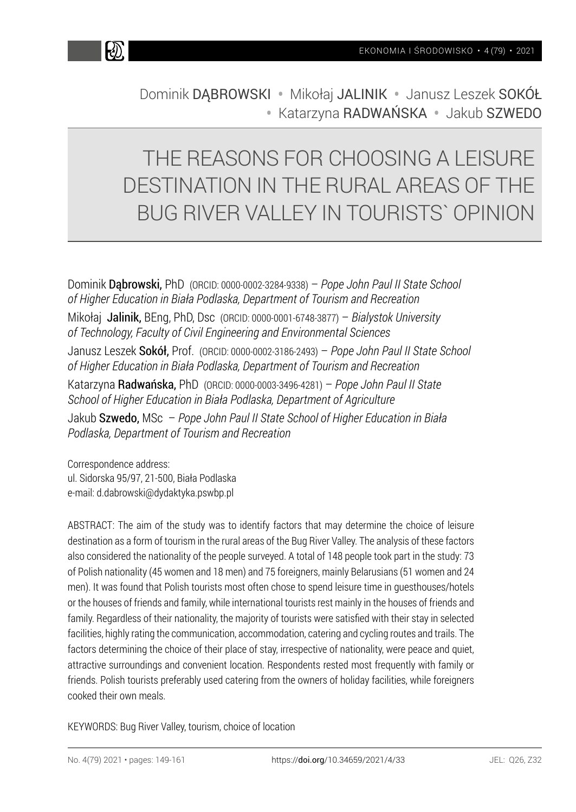

Dominik DABROWSKI · Mikołaj JALINIK · Janusz Leszek SOKÓŁ • Katarzyna RADWAŃSKA • Jakub SZWEDO

# THE REASONS FOR CHOOSING A LEISURE DESTINATION IN THE RURAL AREAS OF THE BUG RIVER VALLEY IN TOURISTS` OPINION

Dominik Dąbrowski, PhD (ORCID: 0000-0002-3284-9338) – *Pope John Paul II State School of Higher Education in Biała Podlaska, Department of Tourism and Recreation*  Mikołaj Jalinik, BEng, PhD, Dsc (ORCID: 0000-0001-6748-3877) – *Bialystok University of Technology, Faculty of Civil Engineering and Environmental Sciences*  Janusz Leszek Sokół, Prof. (ORCID: 0000-0002-3186-2493) – *Pope John Paul II State School of Higher Education in Biała Podlaska, Department of Tourism and Recreation*  Katarzyna Radwańska, PhD (ORCID: 0000-0003-3496-4281) – *Pope John Paul II State School of Higher Education in Biała Podlaska, Department of Agriculture*  Jakub Szwedo, MSc – *Pope John Paul II State School of Higher Education in Biała Podlaska, Department of Tourism and Recreation* 

Correspondence address: ul. Sidorska 95/97, 21-500, Biała Podlaska e-mail: d.dabrowski@dydaktyka.pswbp.pl

ABSTRACT: The aim of the study was to identify factors that may determine the choice of leisure destination as a form of tourism in the rural areas of the Bug River Valley. The analysis of these factors also considered the nationality of the people surveyed. A total of 148 people took part in the study: 73 of Polish nationality (45 women and 18 men) and 75 foreigners, mainly Belarusians (51 women and 24 men). It was found that Polish tourists most often chose to spend leisure time in guesthouses/hotels or the houses of friends and family, while international tourists rest mainly in the houses of friends and family. Regardless of their nationality, the majority of tourists were satisfied with their stay in selected facilities, highly rating the communication, accommodation, catering and cycling routes and trails. The factors determining the choice of their place of stay, irrespective of nationality, were peace and quiet, attractive surroundings and convenient location. Respondents rested most frequently with family or friends. Polish tourists preferably used catering from the owners of holiday facilities, while foreigners cooked their own meals.

KEYWORDS: Bug River Valley, tourism, choice of location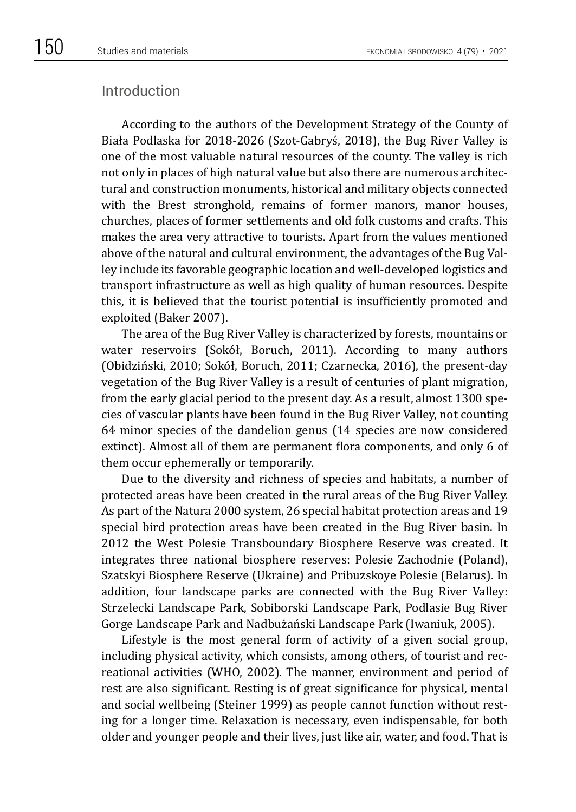## Introduction

According to the authors of the Development Strategy of the County of Biała Podlaska for 2018-2026 (Szot-Gabryś, 2018), the Bug River Valley is one of the most valuable natural resources of the county. The valley is rich not only in places of high natural value but also there are numerous architectural and construction monuments, historical and military objects connected with the Brest stronghold, remains of former manors, manor houses, churches, places of former settlements and old folk customs and crafts. This makes the area very attractive to tourists. Apart from the values mentioned above of the natural and cultural environment, the advantages of the Bug Valley include its favorable geographic location and well-developed logistics and transport infrastructure as well as high quality of human resources. Despite this, it is believed that the tourist potential is insufficiently promoted and exploited (Baker 2007).

The area of the Bug River Valley is characterized by forests, mountains or water reservoirs (Sokół, Boruch, 2011). According to many authors (Obidziński, 2010; Sokół, Boruch, 2011; Czarnecka, 2016), the present-day vegetation of the Bug River Valley is a result of centuries of plant migration, from the early glacial period to the present day. As a result, almost 1300 species of vascular plants have been found in the Bug River Valley, not counting 64 minor species of the dandelion genus (14 species are now considered extinct). Almost all of them are permanent flora components, and only 6 of them occur ephemerally or temporarily.

Due to the diversity and richness of species and habitats, a number of protected areas have been created in the rural areas of the Bug River Valley. As part of the Natura 2000 system, 26 special habitat protection areas and 19 special bird protection areas have been created in the Bug River basin. In 2012 the West Polesie Transboundary Biosphere Reserve was created. It integrates three national biosphere reserves: Polesie Zachodnie (Poland), Szatskyi Biosphere Reserve (Ukraine) and Pribuzskoye Polesie (Belarus). In addition, four landscape parks are connected with the Bug River Valley: Strzelecki Landscape Park, Sobiborski Landscape Park, Podlasie Bug River Gorge Landscape Park and Nadbużański Landscape Park (Iwaniuk, 2005).

Lifestyle is the most general form of activity of a given social group, including physical activity, which consists, among others, of tourist and recreational activities (WHO, 2002). The manner, environment and period of rest are also significant. Resting is of great significance for physical, mental and social wellbeing (Steiner 1999) as people cannot function without resting for a longer time. Relaxation is necessary, even indispensable, for both older and younger people and their lives, just like air, water, and food. That is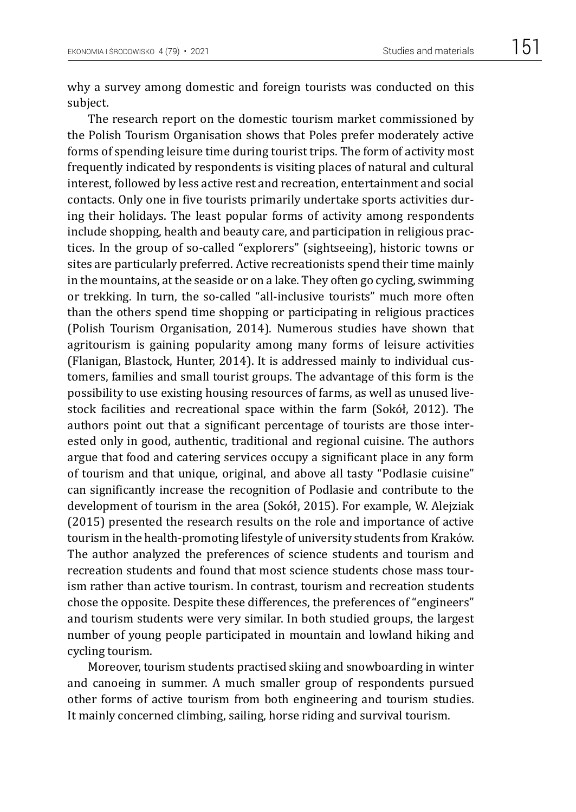why a survey among domestic and foreign tourists was conducted on this subject.

The research report on the domestic tourism market commissioned by the Polish Tourism Organisation shows that Poles prefer moderately active forms of spending leisure time during tourist trips. The form of activity most frequently indicated by respondents is visiting places of natural and cultural interest, followed by less active rest and recreation, entertainment and social contacts. Only one in five tourists primarily undertake sports activities during their holidays. The least popular forms of activity among respondents include shopping, health and beauty care, and participation in religious practices. In the group of so-called "explorers" (sightseeing), historic towns or sites are particularly preferred. Active recreationists spend their time mainly in the mountains, at the seaside or on a lake. They often go cycling, swimming or trekking. In turn, the so-called "all-inclusive tourists" much more often than the others spend time shopping or participating in religious practices (Polish Tourism Organisation, 2014). Numerous studies have shown that agritourism is gaining popularity among many forms of leisure activities (Flanigan, Blastock, Hunter, 2014). It is addressed mainly to individual customers, families and small tourist groups. The advantage of this form is the possibility to use existing housing resources of farms, as well as unused livestock facilities and recreational space within the farm (Sokół, 2012). The authors point out that a significant percentage of tourists are those interested only in good, authentic, traditional and regional cuisine. The authors argue that food and catering services occupy a significant place in any form of tourism and that unique, original, and above all tasty "Podlasie cuisine" can significantly increase the recognition of Podlasie and contribute to the development of tourism in the area (Sokół, 2015). For example, W. Alejziak (2015) presented the research results on the role and importance of active tourism in the health-promoting lifestyle of university students from Kraków. The author analyzed the preferences of science students and tourism and recreation students and found that most science students chose mass tourism rather than active tourism. In contrast, tourism and recreation students chose the opposite. Despite these differences, the preferences of "engineers" and tourism students were very similar. In both studied groups, the largest number of young people participated in mountain and lowland hiking and cycling tourism.

Moreover, tourism students practised skiing and snowboarding in winter and canoeing in summer. A much smaller group of respondents pursued other forms of active tourism from both engineering and tourism studies. It mainly concerned climbing, sailing, horse riding and survival tourism.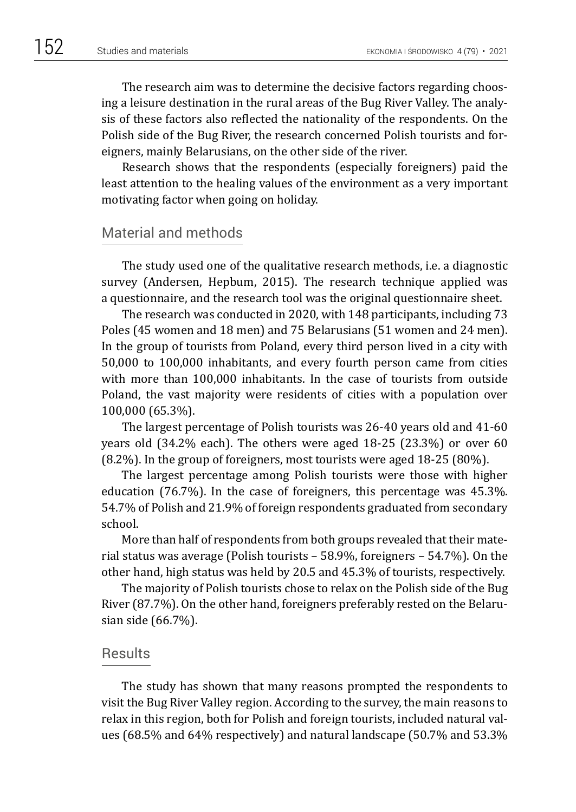The research aim was to determine the decisive factors regarding choosing a leisure destination in the rural areas of the Bug River Valley. The analysis of these factors also reflected the nationality of the respondents. On the Polish side of the Bug River, the research concerned Polish tourists and foreigners, mainly Belarusians, on the other side of the river.

Research shows that the respondents (especially foreigners) paid the least attention to the healing values of the environment as a very important motivating factor when going on holiday.

## Material and methods

The study used one of the qualitative research methods, i.e. a diagnostic survey (Andersen, Hepbum, 2015). The research technique applied was a questionnaire, and the research tool was the original questionnaire sheet.

The research was conducted in 2020, with 148 participants, including 73 Poles (45 women and 18 men) and 75 Belarusians (51 women and 24 men). In the group of tourists from Poland, every third person lived in a city with 50,000 to 100,000 inhabitants, and every fourth person came from cities with more than 100,000 inhabitants. In the case of tourists from outside Poland, the vast majority were residents of cities with a population over 100,000 (65.3%).

The largest percentage of Polish tourists was 26-40 years old and 41-60 years old (34.2% each). The others were aged 18-25 (23.3%) or over 60 (8.2%). In the group of foreigners, most tourists were aged 18-25 (80%).

The largest percentage among Polish tourists were those with higher education (76.7%). In the case of foreigners, this percentage was 45.3%. 54.7% of Polish and 21.9% of foreign respondents graduated from secondary school.

More than half of respondents from both groups revealed that their material status was average (Polish tourists – 58.9%, foreigners – 54.7%). On the other hand, high status was held by 20.5 and 45.3% of tourists, respectively.

The majority of Polish tourists chose to relax on the Polish side of the Bug River (87.7%). On the other hand, foreigners preferably rested on the Belarusian side (66.7%).

#### **Results**

The study has shown that many reasons prompted the respondents to visit the Bug River Valley region. According to the survey, the main reasons to relax in this region, both for Polish and foreign tourists, included natural values (68.5% and 64% respectively) and natural landscape (50.7% and 53.3%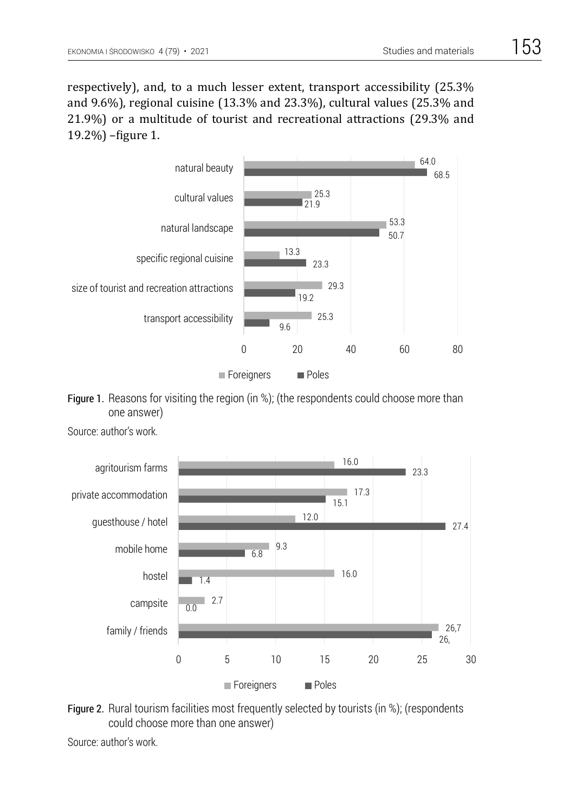respectively), and, to a much lesser extent, transport accessibility (25.3% and 9.6%), regional cuisine (13.3% and 23.3%), cultural values (25.3% and 21.9%) or a multitude of tourist and recreational attractions (29.3% and 19.2%) –figure 1.



Figure 1. Reasons for visiting the region (in %); (the respondents could choose more than one answer)  $\mathsf{E}(\mathsf{C})$  . Reasons for visiting the region (in  $\mathsf{C}(\mathsf{C})$  choose more than  $\mathsf{C}(\mathsf{C})$  choose more than  $\mathsf{C}(\mathsf{C})$  choose more than  $\mathsf{C}(\mathsf{C})$  choose more than  $\mathsf{C}(\mathsf{C})$  choose more than  $\mathsf{C}(\$ 





Figure 2. Rural tourism facilities most frequently selected by tourists (in %); (respondents could choose more than one answer) example and tourists most frequently selected by tourists (in  $\alpha$ ); (respondents); (i.e.,  $\alpha$ ); (i.e.,  $\alpha$ ); (i.e.,  $\alpha$ ); (i.e.,  $\alpha$ ); (i.e.,  $\alpha$ ); (i.e.,  $\alpha$ ); (i.e.,  $\alpha$ ); (i.e.

Source: author's work.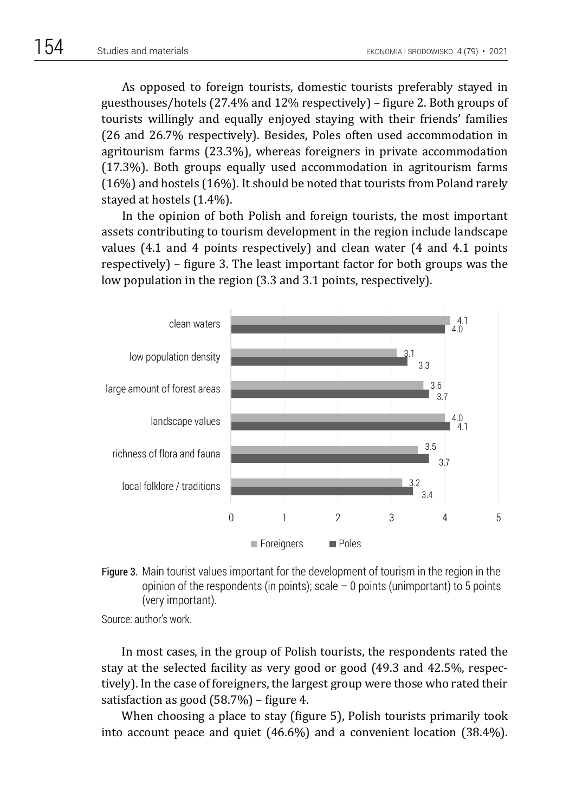As opposed to foreign tourists, domestic tourists preferably stayed in guesthouses/hotels (27.4% and 12% respectively) – figure 2. Both groups of tourists willingly and equally enjoyed staying with their friends' families (26 and 26.7% respectively). Besides, Poles often used accommodation in agritourism farms (23.3%), whereas foreigners in private accommodation (17.3%). Both groups equally used accommodation in agritourism farms (16%) and hostels (16%). It should be noted that tourists from Poland rarely stayed at hostels (1.4%).

In the opinion of both Polish and foreign tourists, the most important assets contributing to tourism development in the region include landscape values (4.1 and 4 points respectively) and clean water (4 and 4.1 points respectively) – figure 3. The least important factor for both groups was the low population in the region (3.3 and 3.1 points, respectively).



Figure 3. Main tourist values important for the development of tourism in the region in the Figure 3. Main tourist values important for the development of tourism in the region in the opinion of the respondents (in points); scale – 0 points (unimportant) to 5 points (very points opinion of the respondents (in points); scale – 0 points (unimportant) to 5 points (very important). important).

Source: author's work.

In most cases, in the group of Polish tourists, the respondents rated the stay at the selected facility as very good or good (49.3 and 42.5%, respectively). In the case of foreigners, the largest group were those who rated their satisfaction as good (58.7%) – figure 4.

When choosing a place to stay (figure 5), Polish tourists primarily took into account peace and quiet (46.6%) and a convenient location (38.4%).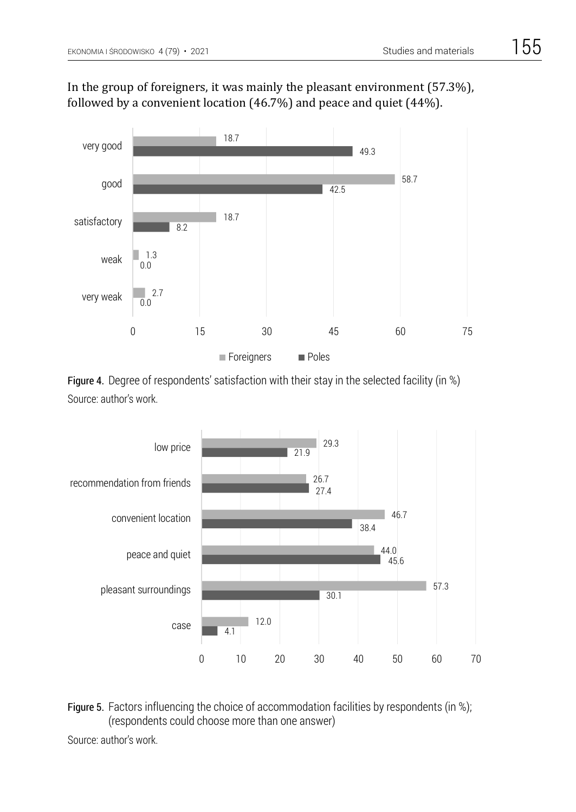

## In the group of foreigners, it was mainly the pleasant environment (57.3%), followed by a convenient location (46.7%) and peace and quiet (44%).

Figure 4. Degree of respondents' satisfaction with their stay in the selected facility (in %) Figure 4. Degree of respondents' satisfaction with their stay in the selected facility (in %) Source: author's work. Source: author's work.



Figure 5. Factors influencing the choice of accommodation facilities by respondents (in %); (respondents could choose more than one answer)

Source: author's work.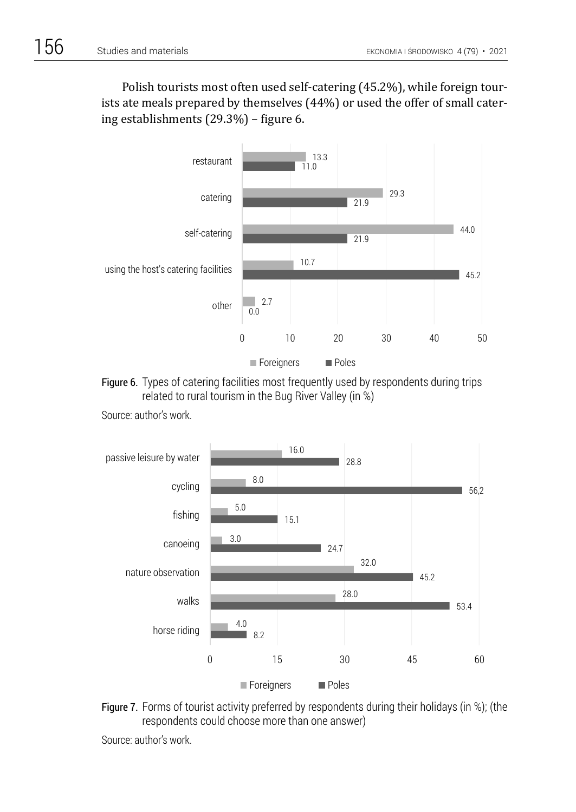Polish tourists most often used self-catering (45.2%), while foreign tourists ate meals prepared by themselves (44%) or used the offer of small catering establishments (29.3%) – figure 6.



Figure 6. Types of catering facilities most frequently used by respondents during trips related to rural tourism in the Bug River Valley (in %)



Source: author's work.

Figure 7. Forms of tourist activity preferred by respondents during their holidays (in %); (the respondents could choose more than one answer)

Source: author's work.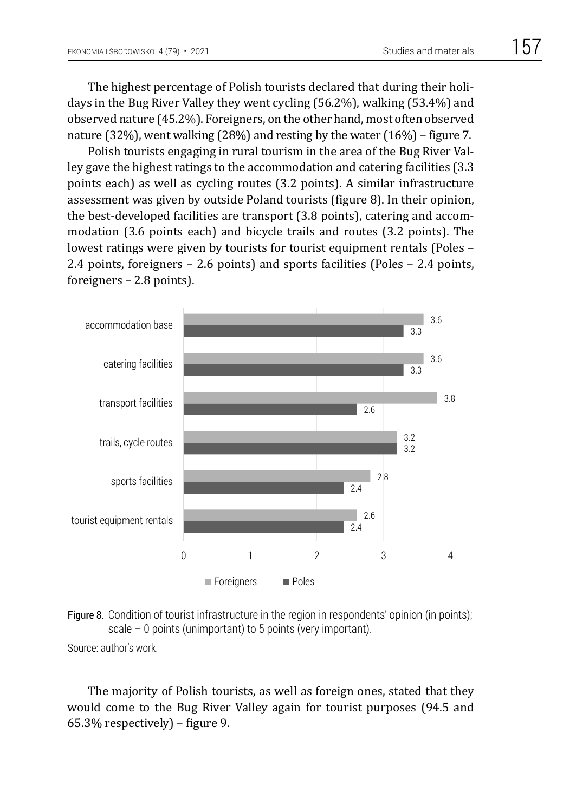The highest percentage of Polish tourists declared that during their holidays in the Bug River Valley they went cycling (56.2%), walking (53.4%) and observed nature (45.2%). Foreigners, on the other hand, most often observed nature (32%), went walking (28%) and resting by the water (16%) – figure 7.

Polish tourists engaging in rural tourism in the area of the Bug River Valley gave the highest ratings to the accommodation and catering facilities (3.3 points each) as well as cycling routes (3.2 points). A similar infrastructure assessment was given by outside Poland tourists (figure 8). In their opinion, the best-developed facilities are transport (3.8 points), catering and accommodation (3.6 points each) and bicycle trails and routes (3.2 points). The lowest ratings were given by tourists for tourist equipment rentals (Poles – 2.4 points, foreigners – 2.6 points) and sports facilities (Poles – 2.4 points, foreigners – 2.8 points).





Source: author's work.

The majority of Polish tourists, as well as foreign ones, stated that they would come to the Bug River Valley again for tourist purposes (94.5 and 65.3% respectively) – figure 9.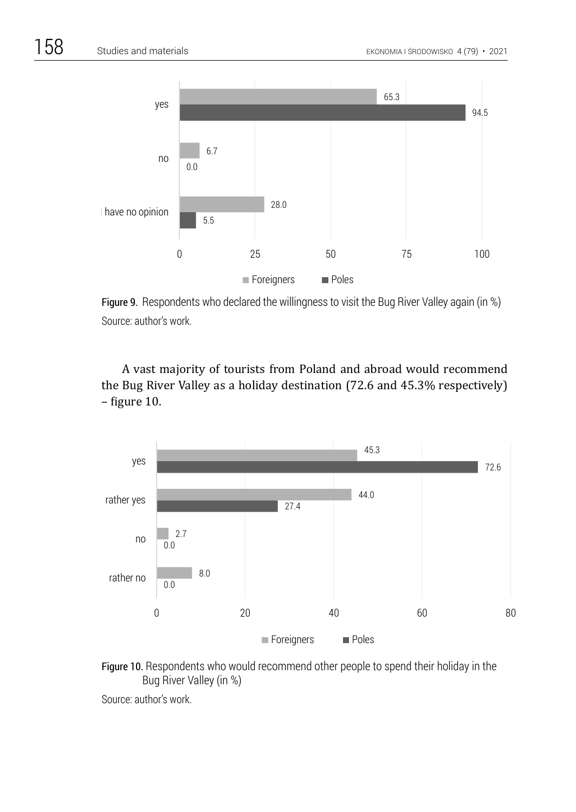

Figure 9. Respondents who declared the willingness to visit the Bug River Valley again (in %) Source: author's work.<br>Source: author's work.

A vast majority of tourists from Poland and abroad would recommend the Bug River Valley as a holiday destination (72.6 and 45.3% respectively) – figure 10.





Source: author's work. Source: author's work.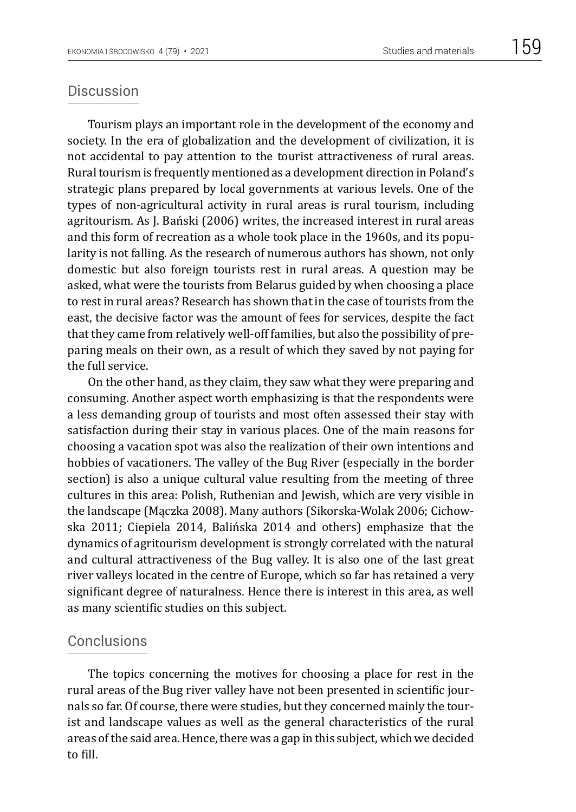Tourism plays an important role in the development of the economy and society. In the era of globalization and the development of civilization, it is not accidental to pay attention to the tourist attractiveness of rural areas. Rural tourism is frequently mentioned as a development direction in Poland's strategic plans prepared by local governments at various levels. One of the types of non-agricultural activity in rural areas is rural tourism, including agritourism. As J. Bański (2006) writes, the increased interest in rural areas and this form of recreation as a whole took place in the 1960s, and its popularity is not falling. As the research of numerous authors has shown, not only domestic but also foreign tourists rest in rural areas. A question may be asked, what were the tourists from Belarus guided by when choosing a place to rest in rural areas? Research has shown that in the case of tourists from the east, the decisive factor was the amount of fees for services, despite the fact that they came from relatively well-off families, but also the possibility of preparing meals on their own, as a result of which they saved by not paying for the full service.

On the other hand, as they claim, they saw what they were preparing and consuming. Another aspect worth emphasizing is that the respondents were a less demanding group of tourists and most often assessed their stay with satisfaction during their stay in various places. One of the main reasons for choosing a vacation spot was also the realization of their own intentions and hobbies of vacationers. The valley of the Bug River (especially in the border section) is also a unique cultural value resulting from the meeting of three cultures in this area: Polish, Ruthenian and Jewish, which are very visible in the landscape (Mączka 2008). Many authors (Sikorska-Wolak 2006; Cichowska 2011; Ciepiela 2014, Balińska 2014 and others) emphasize that the dynamics of agritourism development is strongly correlated with the natural and cultural attractiveness of the Bug valley. It is also one of the last great river valleys located in the centre of Europe, which so far has retained a very significant degree of naturalness. Hence there is interest in this area, as well as many scientific studies on this subject.

## Conclusions

The topics concerning the motives for choosing a place for rest in the rural areas of the Bug river valley have not been presented in scientific journals so far. Of course, there were studies, but they concerned mainly the tourist and landscape values as well as the general characteristics of the rural areas of the said area. Hence, there was a gap in this subject, which we decided to fill.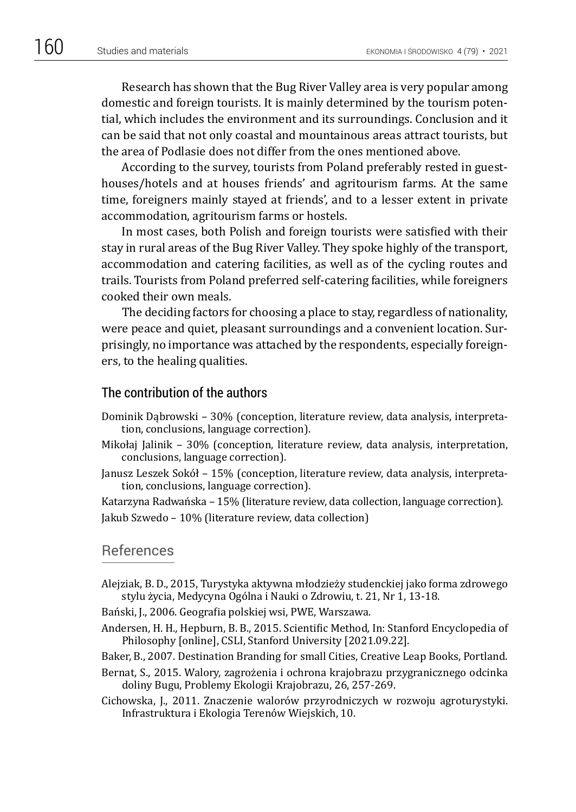Research has shown that the Bug River Valley area is very popular among domestic and foreign tourists. It is mainly determined by the tourism potential, which includes the environment and its surroundings. Conclusion and it can be said that not only coastal and mountainous areas attract tourists, but the area of Podlasie does not differ from the ones mentioned above.

According to the survey, tourists from Poland preferably rested in guesthouses/hotels and at houses friends' and agritourism farms. At the same time, foreigners mainly stayed at friends', and to a lesser extent in private accommodation, agritourism farms or hostels.

In most cases, both Polish and foreign tourists were satisfied with their stay in rural areas of the Bug River Valley. They spoke highly of the transport, accommodation and catering facilities, as well as of the cycling routes and trails. Tourists from Poland preferred self-catering facilities, while foreigners cooked their own meals.

The deciding factors for choosing a place to stay, regardless of nationality, were peace and quiet, pleasant surroundings and a convenient location. Surprisingly, no importance was attached by the respondents, especially foreigners, to the healing qualities.

#### The contribution of the authors

- Dominik Dąbrowski 30% (conception, literature review, data analysis, interpretation, conclusions, language correction).
- Mikołaj Jalinik 30% (conception, literature review, data analysis, interpretation, conclusions, language correction).
- Janusz Leszek Sokół 15% (conception, literature review, data analysis, interpretation, conclusions, language correction).

Katarzyna Radwańska – 15% (literature review, data collection, language correction).

Jakub Szwedo – 10% (literature review, data collection)

#### References

Alejziak, B. D., 2015, Turystyka aktywna młodzieży studenckiej jako forma zdrowego stylu życia, Medycyna Ogólna i Nauki o Zdrowiu, t. 21, Nr 1, 13-18.

Bański, J., 2006. Geografia polskiej wsi, PWE, Warszawa.

- Andersen, H. H.*,* Hepburn, B. B., 2015. Scientific Method*,* In: Stanford Encyclopedia of Philosophy [online], CSLI, Stanford University [2021.09.22].
- Baker, B., 2007. Destination Branding for small Cities, Creative Leap Books, Portland.
- Bernat, S., 2015. Walory, zagrożenia i ochrona krajobrazu przygranicznego odcinka doliny Bugu, Problemy Ekologii Krajobrazu, 26, 257-269.
- Cichowska, J., 2011. Znaczenie walorów przyrodniczych w rozwoju agroturystyki. Infrastruktura i Ekologia Terenów Wiejskich, 10.